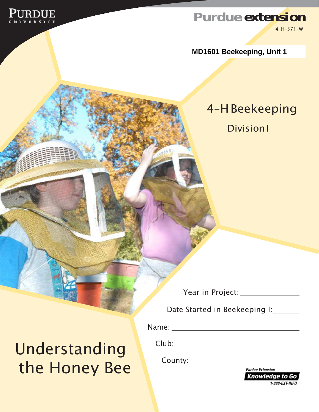

#### **Purdue [extension](http://www.ag.purdue.edu/Extension/Pages/default.aspx)** 4–H–571–W

**MD1601 Beekeeping, Unit 1**

### 4–HBeekeeping

**Division1** 

Year in Project:

Date Started in Beekeeping I:

Name:

Club:

County: New York 1997

**Purdue Extension Knowledge to Go** 1-888-EXT-INFO

Understanding the Honey Bee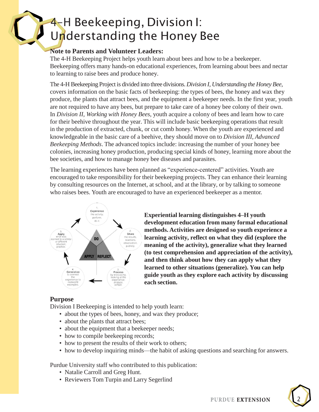## 4-H Beekeeping, Division I: Understanding the Honey Bee

#### **Note to Parents and Volunteer Leaders:**

The 4-H Beekeeping Project helps youth learn about bees and how to be a beekeeper. Beekeeping offers many hands-on educational experiences, from learning about bees and nectar to learning to raise bees and produce honey.

The 4-H Beekeeping Project is divided into three divisions. *Division I, Understanding the Honey Bee*, covers information on the basic facts of beekeeping: the types of bees, the honey and wax they produce, the plants that attract bees, and the equipment a beekeeper needs. In the first year, youth are not required to have any bees, but prepare to take care of a honey bee colony of their own. In *Division II, Working with Honey Bees*, youth acquire a colony of bees and learn how to care for their beehive throughout the year. This will include basic beekeeping operations that result in the production of extracted, chunk, or cut comb honey. When the youth are experienced and knowledgeable in the basic care of a beehive, they should move on to *Division III, Advanced Beekeeping Methods*. The advanced topics include: increasing the number of your honey bee colonies, increasing honey production, producing special kinds of honey, learning more about the bee societies, and how to manage honey bee diseases and parasites.

The learning experiences have been planned as "experience-centered" activities. Youth are encouraged to take responsibility for their beekeeping projects. They can enhance their learning by consulting resources on the Internet, at school, and at the library, or by talking to someone who raises bees. Youth are encouraged to have an experienced beekeeper as a mentor.



**Experiential learning distinguishes 4–H youth development education from many formal educational methods. Activities are designed so youth experience a learning activity, reflect on what they did (explore the meaning of the activity), generalize what they learned (to test comprehension and appreciation of the activity), and then think about how they can apply what they learned to other situations (generalize). You can help guide youth as they explore each activity by discussing each section.**

#### **Purpose**

Division I Beekeeping is intended to help youth learn:

- about the types of bees, honey, and wax they produce;
- about the plants that attract bees;
- about the equipment that a beekeeper needs;
- how to compile beekeeping records;
- how to present the results of their work to others;
- how to develop inquiring minds—the habit of asking questions and searching for answers.

Purdue University staff who contributed to this publication:

- Natalie Carroll and Greg Hunt.
- Reviewers Tom Turpin and Larry Segerlind

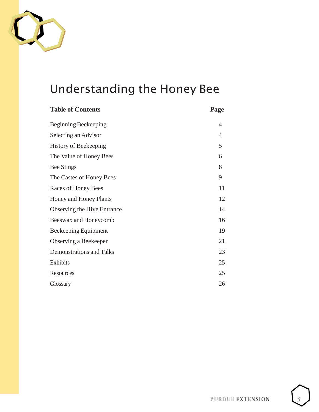

## Understanding the Honey Bee

| <b>Table of Contents</b>           | Page           |
|------------------------------------|----------------|
| Beginning Beekeeping               | $\overline{4}$ |
| Selecting an Advisor               | $\overline{4}$ |
| <b>History of Beekeeping</b>       | 5              |
| The Value of Honey Bees            | 6              |
| <b>Bee Stings</b>                  | 8              |
| The Castes of Honey Bees           | 9              |
| Races of Honey Bees                | 11             |
| Honey and Honey Plants             | 12             |
| <b>Observing the Hive Entrance</b> | 14             |
| Beeswax and Honeycomb              | 16             |
| Beekeeping Equipment               | 19             |
| Observing a Beekeeper              | 21             |
| <b>Demonstrations and Talks</b>    | 23             |
| Exhibits                           | 25             |
| Resources                          | 25             |
| Glossary                           | 26             |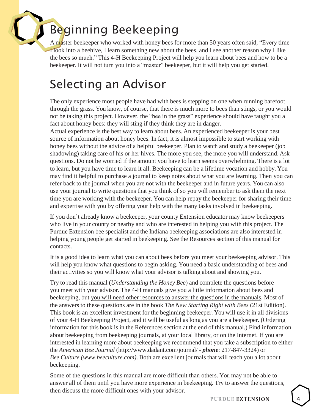## <span id="page-3-0"></span>Beginning Beekeeping

A master beekeeper who worked with honey bees for more than 50 years often said, "Every time I look into a beehive, I learn something new about the bees, and I see another reason why I like the bees so much." This 4-H Beekeeping Project will help you learn about bees and how to be a beekeeper. It will not turn you into a "master" beekeeper, but it will help you get started.

## <span id="page-3-1"></span>Selecting an Advisor

The only experience most people have had with bees is stepping on one when running barefoot through the grass. You know, of course, that there is much more to bees than stings, or you would not be taking this project. However, the "bee in the grass" experience should have taught you a fact about honey bees: they will sting if they think they are in danger.

Actual experience is the best way to learn about bees. An experienced beekeeper is your best source of information about honey bees. In fact, it is almost impossible to start working with honey bees without the advice of a helpful beekeeper. Plan to watch and study a beekeeper (job shadowing) taking care of his or her hives. The more you see, the more you will understand. Ask questions. Do not be worried if the amount you have to learn seems overwhelming. There is a lot to learn, but you have time to learn it all. Beekeeping can be a lifetime vocation and hobby. You may find it helpful to purchase a journal to keep notes about what you are learning. Then you can refer back to the journal when you are not with the beekeeper and in future years. You can also use your journal to write questions that you think of so you will remember to ask them the next time you are working with the beekeeper. You can help repay the beekeeper for sharing their time and expertise with you by offering your help with the many tasks involved in beekeeping.

If you don't already know a beekeeper, your county Extension educator may know beekeepers who live in your county or nearby and who are interested in helping you with this project. The Purdue Extension bee specialist and the Indiana beekeeping associations are also interested in helping young people get started in beekeeping. See the Resources section of this manual for contacts.

It is a good idea to learn what you can about bees before you meet your beekeeping advisor. This will help you know what questions to begin asking. You need a basic understanding of bees and their activities so you will know what your advisor is talking about and showing you.

Try to read this manual (*Understanding the Honey Bee*) and complete the questions before you meet with your advisor. The 4-H manuals give you a little information about bees and beekeeping, but you will need other resources to answer the questions in the manuals. Most of the answers to these questions are in the book *The New Starting Right with Bees* (21st Edition). This book is an excellent investment for the beginning beekeeper. You will use it in all divisions of your 4-H Beekeeping Project, and it will be useful as long as you are a beekeeper. (Ordering information for this book is in the References section at the end of this manual.) Find information about beekeeping from beekeeping journals, at your local library, or on the Internet. If you are interested in learning more about beekeeping we recommend that you take a subscription to either the *American Bee Journal* [\(http://www.dadant.com/journal/](http://www.dadant.com/journal) - *phone*: 217-847-3324) or *Bee Culture (www.beeculture.com)*. Both are excellent journals that will teach you a lot about beekeeping.

Some of the questions in this manual are more difficult than others. You may not be able to answer all of them until you have more experience in beekeeping. Try to answer the questions, then discuss the more difficult ones with your advisor.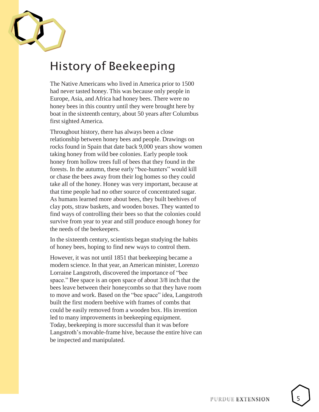

### <span id="page-4-0"></span>History of Beekeeping

The Native Americans who lived in America prior to 1500 had never tasted honey. This was because only people in Europe, Asia, and Africa had honey bees. There were no honey bees in this country until they were brought here by boat in the sixteenth century, about 50 years after Columbus first sighted America.

Throughout history, there has always been a close relationship between honey bees and people. Drawings on rocks found in Spain that date back 9,000 years show women taking honey from wild bee colonies. Early people took honey from hollow trees full of bees that they found in the forests. In the autumn, these early "bee-hunters" would kill or chase the bees away from their log homes so they could take all of the honey. Honey was very important, because at that time people had no other source of concentrated sugar. As humans learned more about bees, they built beehives of clay pots, straw baskets, and wooden boxes. They wanted to find ways of controlling their bees so that the colonies could survive from year to year and still produce enough honey for the needs of the beekeepers.

In the sixteenth century, scientists began studying the habits of honey bees, hoping to find new ways to control them.

However, it was not until 1851 that beekeeping became a modern science. In that year, an American minister, Lorenzo Lorraine Langstroth, discovered the importance of "bee space." Bee space is an open space of about 3/8 inch that the bees leave between their honeycombs so that they have room to move and work. Based on the "bee space" idea, Langstroth built the first modern beehive with frames of combs that could be easily removed from a wooden box. His invention led to many improvements in beekeeping equipment. Today, beekeeping is more successful than it was before Langstroth's movable-frame hive, because the entire hive can be inspected and manipulated.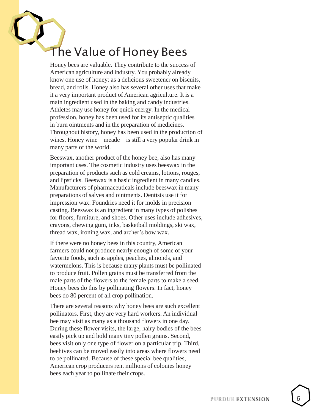## <span id="page-5-0"></span>The Value of Honey Bees

Honey bees are valuable. They contribute to the success of American agriculture and industry. You probably already know one use of honey: as a delicious sweetener on biscuits, bread, and rolls. Honey also has several other uses that make it a very important product of American agriculture. It is a main ingredient used in the baking and candy industries. Athletes may use honey for quick energy. In the medical profession, honey has been used for its antiseptic qualities in burn ointments and in the preparation of medicines. Throughout history, honey has been used in the production of wines. Honey wine—meade—is still a very popular drink in many parts of the world.

Beeswax, another product of the honey bee, also has many important uses. The cosmetic industry uses beeswax in the preparation of products such as cold creams, lotions, rouges, and lipsticks. Beeswax is a basic ingredient in many candles. Manufacturers of pharmaceuticals include beeswax in many preparations of salves and ointments. Dentists use it for impression wax. Foundries need it for molds in precision casting. Beeswax is an ingredient in many types of polishes for floors, furniture, and shoes. Other uses include adhesives, crayons, chewing gum, inks, basketball moldings, ski wax, thread wax, ironing wax, and archer's bow wax.

If there were no honey bees in this country, American farmers could not produce nearly enough of some of your favorite foods, such as apples, peaches, almonds, and watermelons. This is because many plants must be pollinated to produce fruit. Pollen grains must be transferred from the male parts of the flowers to the female parts to make a seed. Honey bees do this by pollinating flowers. In fact, honey bees do 80 percent of all crop pollination.

There are several reasons why honey bees are such excellent pollinators. First, they are very hard workers. An individual bee may visit as many as a thousand flowers in one day. During these flower visits, the large, hairy bodies of the bees easily pick up and hold many tiny pollen grains. Second, bees visit only one type of flower on a particular trip. Third, beehives can be moved easily into areas where flowers need to be pollinated. Because of these special bee qualities, American crop producers rent millions of colonies honey bees each year to pollinate their crops.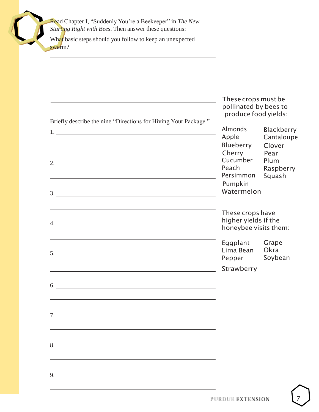Read Chapter I, "Suddenly You're a Beekeeper" in *The New Starting Right with Bees*. Then answer these questions:

What basic steps should you follow to keep an unexpected swarm?

|                                                                                                                                                                                                                                                                                                                        | These crops must be<br>pollinated by bees to                      |                                      |  |
|------------------------------------------------------------------------------------------------------------------------------------------------------------------------------------------------------------------------------------------------------------------------------------------------------------------------|-------------------------------------------------------------------|--------------------------------------|--|
| Briefly describe the nine "Directions for Hiving Your Package."                                                                                                                                                                                                                                                        | produce food yields:<br>Almonds                                   | Blackberry                           |  |
|                                                                                                                                                                                                                                                                                                                        | Apple<br>Blueberry<br>Cherry<br>Cucumber                          | Cantaloupe<br>Clover<br>Pear<br>Plum |  |
| 3.                                                                                                                                                                                                                                                                                                                     | Peach<br>Persimmon<br>Pumpkin<br>Watermelon                       | Raspberry<br>Squash                  |  |
|                                                                                                                                                                                                                                                                                                                        | These crops have<br>higher yields if the<br>honeybee visits them: |                                      |  |
| 5.                                                                                                                                                                                                                                                                                                                     | Eggplant<br>Lima Bean<br>Pepper                                   | Grape<br>Okra<br>Soybean             |  |
| 6.                                                                                                                                                                                                                                                                                                                     | Strawberry                                                        |                                      |  |
| 7.                                                                                                                                                                                                                                                                                                                     |                                                                   |                                      |  |
| 8.                                                                                                                                                                                                                                                                                                                     |                                                                   |                                      |  |
| 9. $\frac{1}{2}$ $\frac{1}{2}$ $\frac{1}{2}$ $\frac{1}{2}$ $\frac{1}{2}$ $\frac{1}{2}$ $\frac{1}{2}$ $\frac{1}{2}$ $\frac{1}{2}$ $\frac{1}{2}$ $\frac{1}{2}$ $\frac{1}{2}$ $\frac{1}{2}$ $\frac{1}{2}$ $\frac{1}{2}$ $\frac{1}{2}$ $\frac{1}{2}$ $\frac{1}{2}$ $\frac{1}{2}$ $\frac{1}{2}$ $\frac{1}{2}$ $\frac{1}{2}$ |                                                                   |                                      |  |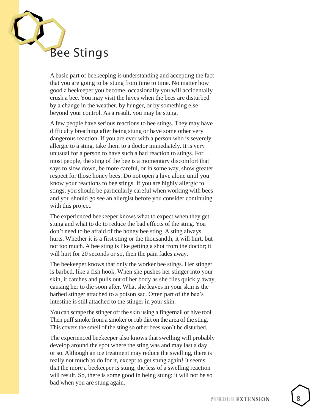<span id="page-7-0"></span>

A basic part of beekeeping is understanding and accepting the fact that you are going to be stung from time to time. No matter how good a beekeeper you become, occasionally you will accidentally crush a bee. You may visit the hives when the bees are disturbed by a change in the weather, by hunger, or by something else beyond your control. As a result, you may be stung.

A few people have serious reactions to bee stings. They may have difficulty breathing after being stung or have some other very dangerous reaction. If you are ever with a person who is severely allergic to a sting, take them to a doctor immediately. It is very unusual for a person to have such a bad reaction to stings. For most people, the sting of the bee is a momentary discomfort that says to slow down, be more careful, or in some way, show greater respect for those honey bees. Do not open a hive alone until you know your reactions to bee stings. If you are highly allergic to stings, you should be particularly careful when working with bees and you should go see an allergist before you consider continuing with this project.

The experienced beekeeper knows what to expect when they get stung and what to do to reduce the bad effects of the sting. You don't need to be afraid of the honey bee sting. A sting always hurts. Whether it is a first sting or the thousandth, it will hurt, but not too much. A bee sting is like getting a shot from the doctor; it will hurt for 20 seconds or so, then the pain fades away .

The beekeeper knows that only the worker bee stings. Her stinger is barbed, like a fish hook. When she pushes her stinger into your skin, it catches and pulls out of her body as she flies quickly away, causing her to die soon after. What she leaves in your skin is the barbed stinger attached to a poison sac. Often part of the bee's intestine is still attached to the stinger in your skin.

You can scrape the stinger off the skin using a fingernail or hive tool. Then puff smoke from a smoker or rub dirt on the area of the sting. This covers the smell of the sting so other bees won't be disturbed.

The experienced beekeeper also knows that swelling will probably develop around the spot where the sting was and may last a day or so. Although an ice treatment may reduce the swelling, there is really not much to do for it, except to get stung again! It seems that the more a beekeeper is stung, the less of a swelling reaction will result. So, there is some good in being stung; it will not be so bad when you are stung again.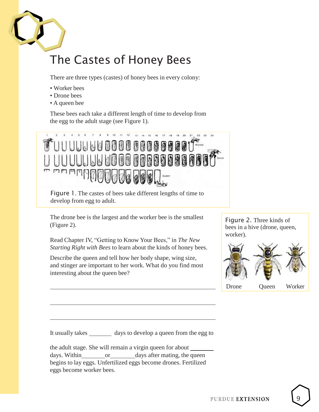

## <span id="page-8-0"></span>The Castes of Honey Bees

There are three types (castes) of honey bees in every colony:

- Worker bees
- Drone bees
- A queen bee

These bees each take a different length of time to develop from the egg to the adult stage (see Figure 1).



Figure 1. The castes of bees take different lengths of time to develop from egg to adult.

The drone bee is the largest and the worker bee is the smallest (Figure 2).

Read Chapter IV, "Getting to Know Your Bees," in *The New Starting Right with Bees* to learn about the kinds of honey bees.

Describe the queen and tell how her body shape, wing size, and stinger are important to her work. What do you find most interesting about the queen bee?





It usually takes \_\_\_\_\_\_\_\_ days to develop a queen from the egg to

the adult stage. She will remain a virgin queen for about days. Within or days after mating, the queen begins to lay eggs. Unfertilized eggs become drones. Fertilized eggs become worker bees.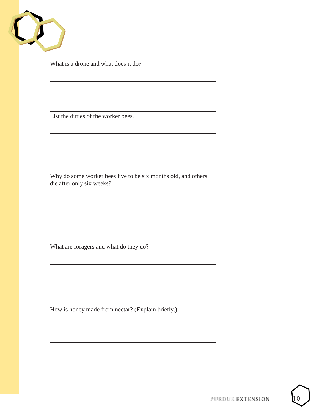

What is a drone and what does it do?

List the duties of the worker bees.

Why do some worker bees live to be six months old, and others die after only six weeks?

What are foragers and what do they do?

How is honey made from nectar? (Explain briefly.)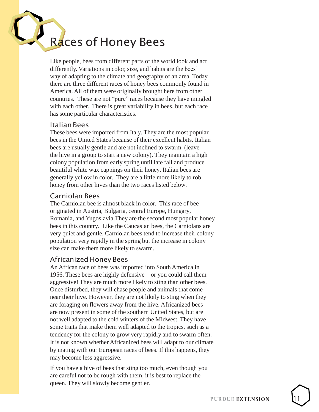# <span id="page-10-0"></span>Races of Honey Bees

Like people, bees from different parts of the world look and act differently. Variations in color, size, and habits are the bees' way of adapting to the climate and geography of an area. Today there are three different races of honey bees commonly found in America. All of them were originally brought here from other countries. These are not "pure" races because they have mingled with each other. There is great variability in bees, but each race has some particular characteristics.

#### ItalianBees

These bees were imported from Italy. They are the most popular bees in the United States because of their excellent habits. Italian bees are usually gentle and are not inclined to swarm (leave the hive in a group to start a new colony). They maintain a high colony population from early spring until late fall and produce beautiful white wax cappings on their honey. Italian bees are generally yellow in color. They are a little more likely to rob honey from other hives than the two races listed below.

#### Carniolan Bees

The Carniolan bee is almost black in color. This race of bee originated in Austria, Bulgaria, central Europe, Hungary, Romania, and Yugoslavia.They are the secon d most popular honey bees in this country. Like the Caucasian bees, the Carniolans are very quiet and gentle. Carniolan bees tend to increase their colony population very rapidly in the spring but the increase in colony size can make them more likely to swarm.

#### Africanized Honey Bees

An African race of bees was imported into South America in 1956. These bees are highly defensive —or you could call them aggressive! They are much more likely to sting than other bees. Once disturbed, they will chase people and animals that come near their hive. However, they are not likely to sting when they are foraging on flowers away from the hive. Africanized bees are now present in some of the southern United States, but are not well adapted to the cold winters of the Midwest. They have some traits that make them well adapted to the tropics, such as a tendency for the colony to grow very rapidly and to swarm often. It is not known whether Africanized bees will adapt to our climate by mating with our European races of bees. If this happens, they may become less aggressive.

If you have a hive of bees that sting too much, even though you are careful not to be rough with them, it is best to replace the queen. They will slowly become gentler.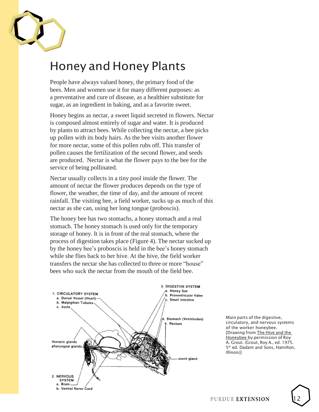

## <span id="page-11-0"></span>Honey and Honey Plants

People have always valued honey, the primary food of the bees. Men and women use it for many different purposes: as a preventative and cure of disease, as a healthier substitute for sugar, as an ingredient in baking, and as a favorite sweet.

Honey begins as nectar, a sweet liquid secreted in flowers. Nectar is composed almost entirely of sugar and water. It is produced by plants to attract bees. While collecting the nectar, a bee picks up pollen with its body hairs. As the bee visits another flower for more nectar, some of this pollen rubs off. This transfer of pollen causes the fertilization of the second flower, and seeds are produced. Nectar is what the flower pays to the bee for the service of being pollinated.

Nectar usually collects in a tiny pool inside the flower. The amount of nectar the flower produces depends on the type of flower, the weather, the time of day, and the amount of recent rainfall. The visiting bee, a field worker, sucks up as much of this nectar as she can, using her long tongue (proboscis).

The honey bee has two stomachs, a honey stomach and a real stomach. The honey stomach is used only for the temporary storage of honey. It is in front of the real stomach, where the process of digestion takes place (Figure 4). The nectar sucked up by the honey bee's proboscis is held in the bee's honey stomach while she flies back to her hive. At the hive, the field worker transfers the nectar she has collected to three or more "house" bees who suck the nectar from the mouth of the field bee.



Main parts of the digestive, circulatory, and nervous systems of the worker honeybee. [Drawing from The Hive and the Honeybee by permission of Roy A. Grout. (Grout, Roy A., ed. 1975. 5<sup>th</sup> ed. Dadant and Sons, Hamilton, Illinois)]

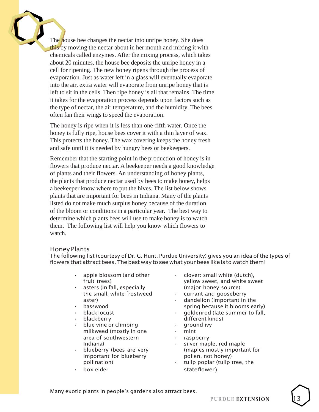The house bee changes the nectar into unripe honey. She does this by moving the nectar about in her mouth and mixing it with chemicals called enzymes. After the mixing process, which takes about 20 minutes, the house bee deposits the unripe honey in a cell for ripening. The new honey ripens through the process of evaporation. Just as water left in a glass will eventually evaporate into the air, extra water will evaporate from unripe honey that is left to sit in the cells. Then ripe honey is all that remains. The time it takes for the evaporation process depends upon factors such as the type of nectar, the air temperature, and the humidity. The bees often fan their wings to speed the evaporation.

The honey is ripe when it is less than one-fifth water. Once the honey is fully ripe, house bees cover it with a thin layer of wax. This protects the honey. The wax covering keeps the honey fresh and safe until it is needed by hungry bees or beekeepers.

Remember that the starting point in the production of honey is in flowers that produce nectar. A beekeeper needs a good knowledge of plants and their flowers. An understanding of honey plants, the plants that produce nectar used by bees to make honey, helps a beekeeper know where to put the hives. The list below shows plants that are important for bees in Indiana. Many of the plants listed do not make much surplus honey because of the duration of the bloom or conditions in a particular year. The best way to determine which plants bees will use to make honey is to watch them. The following list will help you know which flowers to watch.

#### Honey Plants

The following list (courtesy of Dr. G. Hunt, Purdue University) gives you an idea of the types of flowers that attract bees. The best way to see what your bees like is to watch them!

- 
- 
- 
- 
- 
- $\cdot$  blue vine or climbing  $\cdot$  qround ivy milkweed (mostly in one • mint area of southwestern **•** raspberry
- important for blueberry pollen, not honey)
- 
- apple blossom (and other  $\cdot$  clover: small white (dutch), fruit trees) The South School and White Sweet fruit trees asters (in fall, especially example as (major honey source)
- the small, white frostweed  $\cdot$  currant and gooseberry
- aster) **•** dandelion (important in the basswood basswood basswood basswood basswood basswood basswood basswood basswood basswood bass and  $\mathbf{F}$  is  $\mathbf{F}$  is  $\mathbf{F}$  is  $\mathbf{F}$  is  $\mathbf{F}$  is  $\mathbf{F}$  is  $\mathbf{F}$  is  $\mathbf{F}$  is  $\mathbf{F}$  is  $\mathbf{F}$  is  $\math$
- black locust **• •** goldenrod (late summer to fall, • blackberry different kinds)
	-
	-
	-
	- Indiana) **•** silver maple, red maple • blueberry (bees are very (maples mostly important for
	- pollination) tulip poplar (tulip tree, the box elder stateflower)

Many exotic plants in people's gardens also attract bees.

PURDUE EXTENSION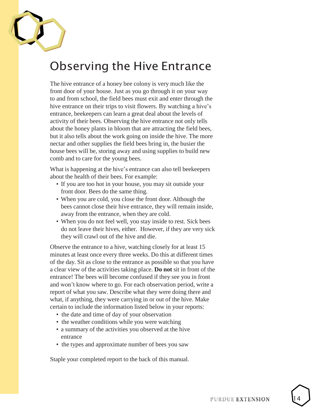

### <span id="page-13-0"></span>Observing the Hive Entrance

The hive entrance of a honey bee colony is very much like the front door of your house. Just as you go through it on your way to and from school, the field bees must exit and enter through the hive entrance on their trips to visit flowers. By watching a hive's entrance, beekeepers can learn a great deal about the levels of activity of their bees. Observing the hive entrance not only tells about the honey plants in bloom that are attracting the field bees, but it also tells about the work going on inside the hive. The more nectar and other supplies the field bees bring in, the busier the house bees will be, storing away and using supplies to build new comb and to care for the young bees.

What is happening at the hive's entrance can also tell beekeepers about the health of their bees. For example:

- If you are too hot in your house, you may sit outside your front door. Bees do the same thing.
- When you are cold, you close the front door. Although the bees cannot close their hive entrance, they will remain inside, away from the entrance, when they are cold.
- When you do not feel well, you stay inside to rest. Sick bees do not leave their hives, either. However, if they are very sick they will crawl out of the hive and die.

Observe the entrance to a hive, watching closely for at least 15 minutes at least once every three weeks. Do this at different times of the day. Sit as close to the entrance as possible so that you have a clear view of the activities taking place. **Do not** sit in front of the entrance! The bees will become confused if they see you in front and won't know where to go. For each observation period, write a report of what you saw. Describe what they were doing there and what, if anything, they were carrying in or out of the hive. Make certain to include the information listed below in your reports:

- the date and time of day of your observation
- the weather conditions while you were watching
- a summary of the activities you observed at the hive entrance
- the types and approximate number of bees you saw

Staple your completed report to the back of this manual.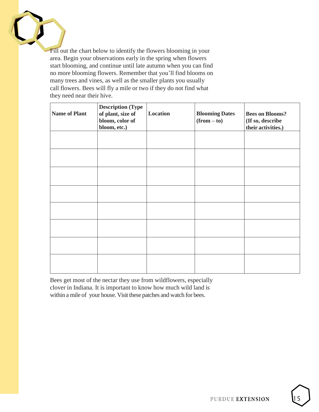

Fill out the chart below to identify the flowers blooming in your area. Begin your observations early in the spring when flowers start blooming, and continue until late autumn when you can find no more blooming flowers. Remember that you'll find blooms on many trees and vines, as well as the smaller plants you usually call flowers. Bees will fly a mile or two if they do not find what they need near their hive.

| <b>Name of Plant</b> | <b>Description (Type)</b><br>of plant, size of<br>bloom, color of<br>bloom, etc.) | Location | <b>Blooming Dates</b><br>$(from - to)$ | <b>Bees on Blooms?</b><br>(If so, describe<br>their activities.) |
|----------------------|-----------------------------------------------------------------------------------|----------|----------------------------------------|------------------------------------------------------------------|
|                      |                                                                                   |          |                                        |                                                                  |
|                      |                                                                                   |          |                                        |                                                                  |
|                      |                                                                                   |          |                                        |                                                                  |
|                      |                                                                                   |          |                                        |                                                                  |
|                      |                                                                                   |          |                                        |                                                                  |
|                      |                                                                                   |          |                                        |                                                                  |
|                      |                                                                                   |          |                                        |                                                                  |
|                      |                                                                                   |          |                                        |                                                                  |

Bees get most of the nectar they use from wildflowers, especially clover in Indiana. It is important to know how much wild land is within a mile of your house. Visit these patches and watch for bees.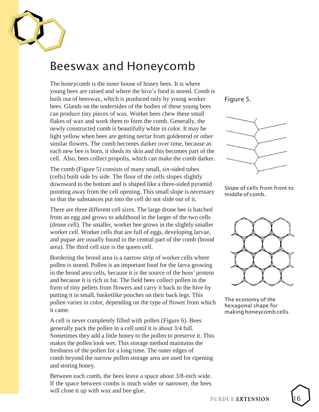

#### <span id="page-15-0"></span>Beeswax and Honeycomb

The honeycomb is the inner house of honey bees. It is where young bees are raised and where the hive's food is stored. Comb is built out of beeswax, which is produced only by young worker bees. Glands on the undersides of the bodies of these young bees can produce tiny pieces of wax. Worker bees chew these small flakes of wax and work them to form the comb. Generally, the newly constructed comb is beautifully white in color. It may be light yellow when bees are getting nectar from goldenrod or other similar flowers. The comb becomes darker over time, because as each new bee is born, it sheds its skin and this becomes part of the cell. Also, bees collect propolis, which can make the comb darker.

The comb (Figure 5) consists of many small, six-sided tubes (cells) built side by side. The floor of the cells slopes slightly downward to the bottom and is shaped like a three-sided pyramid pointing away from the cell opening. This small slope is necessary so that the substances put into the cell do not slide out of it.

There are three different cell sizes. The large drone bee is hatched from an egg and grows to adulthood in the larger of the two cells (drone cell). The smaller, worker bee grows in the slightly smaller worker cell. Worker cells that are full of eggs, developing larvae, and pupae are usually found in the central part of the comb (brood area). The third cell size is the queen cell.

Bordering the brood area is a narrow strip of worker cells where pollen is stored. Pollen is an important food for the larva growing in the brood area cells, because it is the source of the bees' protein and because it is rich in fat. The field bees collect pollen in the form of tiny pellets from flowers and carry it back to the hive by putting it in small, basketlike pouches on their back legs. This pollen varies in color, depending on the type of flower from which it came.

A cell is never completely filled with pollen (Figure 6). Bees generally pack the pollen in a cell until it is about 3/4 full. Sometimes they add a little honey to the pollen to preserve it. This makes the pollen look wet. This storage method maintains the freshness of the pollen for a long time. The outer edges of comb beyond the narrow pollen storage area are used for ripening and storing honey.

Between each comb, the bees leave a space about 3/8-inch wide. If the space between combs is much wider or narrower, the bees will close it up with wax and bee glue.

Figure 5.



Slope of cells from front to middle of comb.



The economy of the hexagonal shape for making honeycomb cells.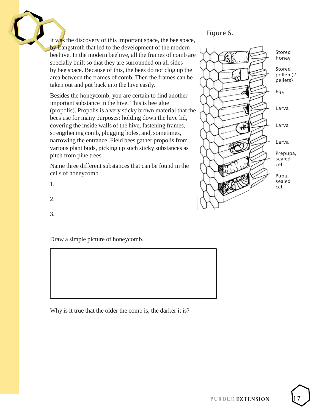It was the discovery of this important space, the bee space, by Langstroth that led to the development of the modern beehive. In the modern beehive, all the frames of comb are specially built so that they are surrounded on all sides by bee space. Because of this, the bees do not clog up the area between the frames of comb. Then the frames can be taken out and put back into the hive easily.

Besides the honeycomb, you are certain to find another important substance in the hive. This is bee glue (propolis). Propolis is a very sticky brown material that the bees use for many purposes: holding down the hive lid, covering the inside walls of the hive, fastening frames, strengthening comb, plugging holes, and, sometimes, narrowing the entrance. Field bees gather propolis from various plant buds, picking up such sticky substances as pitch from pine trees.

Name three different substances that can be found in the cells of honeycomb.

Draw a simple picture of honeycomb.

Why is it true that the older the comb is, the darker it is?

#### Figure 6.

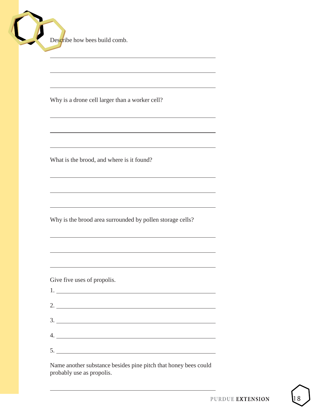Describe how bees build comb.

Why is a drone cell larger than a worker cell?

What is the brood, and where is it found?

Why is the brood area surrounded by pollen storage cells?

Give five uses of propolis.

1.

| <u>1. _________________________</u> |  |
|-------------------------------------|--|
| 2.                                  |  |
|                                     |  |
|                                     |  |
|                                     |  |
| 5.                                  |  |

Name another substance besides pine pitch that honey bees could probably use as propolis.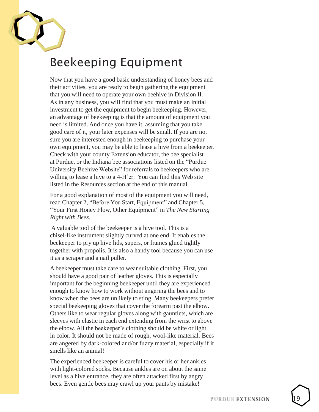<span id="page-18-0"></span>

## Beekeeping Equipment

Now that you have a good basic understanding of honey bees and their activities, you are ready to begin gathering the equipment that you will need to operate your own beehive in Division II. As in any business, you will find that you must make an initial investment to get the equipment to begin beekeeping. However, an advantage of beekeeping is that the amount of equipment you need is limited. And once you have it, assuming that you take good care of it, your later expenses will be small. If you are not sure you are interested enough in beekeeping to purchase your own equipment, you may be able to lease a hive from a beekeeper. Check with your county Extension educator, the bee specialist at Purdue, or the Indiana bee associations listed on the "Purdue University Beehive Website" for referrals to beekeepers who are willing to lease a hive to a 4-H'er. You can find this Web site listed in the Resources section at the end of this manual.

For a good explanation of most of the equipment you will need, read Chapter 2, "Before You Start, Equipment" and Chapter 5, "Your First Honey Flow, Other Equipment" in *The New Starting Right with Bees.*

A valuable tool of the beekeeper is a hive tool. This is a chisel -like instrument slightly curved at one end. It enables the beekeeper to pry up hive lids, supers, or frames glued tightly together with propolis. It is also a handy tool because you can use it as a scraper and a nail puller.

A beekeeper must take care to wear suitable clothing. First, you should have a good pair of leather gloves. This is especially important for the beginning beekeeper until they are experienced enough to know how to work without angering the bees and to know when the bees are unlikely to sting. Many beekeepers prefer special beekeeping gloves that cover the forearm past the elbow. Others like to wear regular gloves along with gauntlets, which are sleeves with elastic in each end extending from the wrist to above the elbow. All the beekeeper's clothing should be white or light in color. It should not be made of rough, wool -like material. Bees are angered by dark -colored and/or fuzzy material, especially if it smells like an animal!

The experienced beekeeper is careful to cover his or her ankles with light -colored socks. Because ankles are on about the same level as a hive entrance, they are often attacked first by angry bees. Even gentle bees may crawl up your pants by mistake!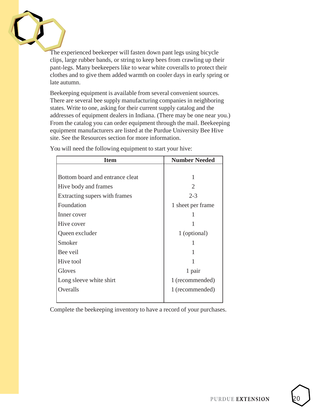The experienced beekeeper will fasten down pant legs using bicycle clips, large rubber bands, or string to keep bees from crawling up their pant-legs. Many beekeepers like to wear white coveralls to protect their clothes and to give them added warmth on cooler days in early spring or late autumn.

Beekeeping equipment is available from several convenient sources. There are several bee supply manufacturing companies in neighboring states. Write to one, asking for their current supply catalog and the addresses of equipment dealers in Indiana. (There may be one near you.) From the catalog you can order equipment through the mail. Beekeeping equipment manufacturers are listed at the Purdue University Bee Hive site. See the Resources section for more information.

| <b>Item</b>                     | <b>Number Needed</b>        |
|---------------------------------|-----------------------------|
|                                 |                             |
| Bottom board and entrance cleat |                             |
| Hive body and frames            | $\mathcal{D}_{\mathcal{L}}$ |
| Extracting supers with frames   | $2 - 3$                     |
| Foundation                      | 1 sheet per frame           |
| Inner cover                     |                             |
| Hive cover                      |                             |
| Queen excluder                  | 1 (optional)                |
| Smoker                          |                             |
| Bee veil                        |                             |
| Hive tool                       |                             |
| Gloves                          | 1 pair                      |
| Long sleeve white shirt         | 1 (recommended)             |
| Overalls                        | 1 (recommended)             |
|                                 |                             |

You will need the following equipment to start your hive:

Complete the beekeeping inventory to have a record of your purchases.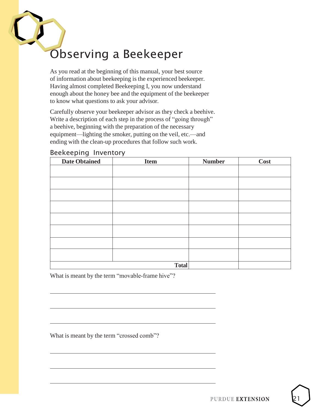## <span id="page-20-0"></span>Observing a Beekeeper

As you read at the beginning of this manual, your best source of information about beekeeping is the experienced beekeeper. Having almost completed Beekeeping I, you now understand enough about the honey bee and the equipment of the beekeeper to know what questions to ask your advisor.

Carefully observe your beekeeper advisor as they check a beehive. Write a description of each step in the process of "going through" a beehive, beginning with the preparation of the necessary equipment—lighting the smoker, putting on the veil, etc.—and ending with the clean-up procedures that follow such work.

#### Beekeeping Inventory

| <b>Date Obtained</b> | <b>Item</b>  | <b>Number</b> | <b>Cost</b> |
|----------------------|--------------|---------------|-------------|
|                      |              |               |             |
|                      |              |               |             |
|                      |              |               |             |
|                      |              |               |             |
|                      |              |               |             |
|                      |              |               |             |
|                      |              |               |             |
|                      |              |               |             |
|                      |              |               |             |
|                      | <b>Total</b> |               |             |

What is meant by the term "movable-frame hive"?

What is meant by the term "crossed comb"?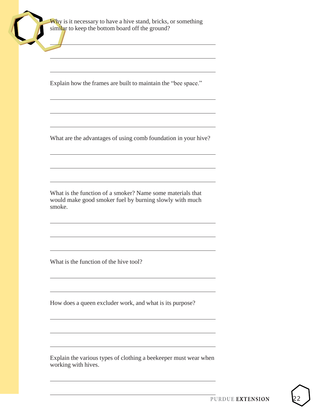Explain how the frames are built to maintain the "bee space."

What are the advantages of using comb foundation in your hive?

What is the function of a smoker? Name some materials that would make good smoker fuel by burning slowly with much smoke.

What is the function of the hive tool?

How does a queen excluder work, and what is its purpose?

Explain the various types of clothing a beekeeper must wear when working with hives.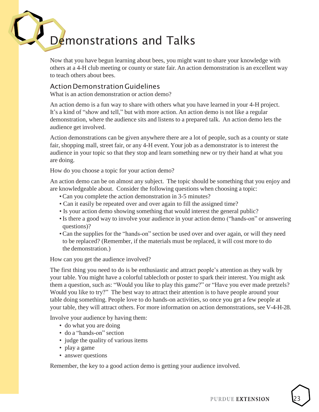## <span id="page-22-0"></span>Demonstrations and Talks

Now that you have begun learning about bees, you might want to share your knowledge with others at a 4-H club meeting or county or state fair. An action demonstration is an excellent way to teach others about bees.

#### ActionDemonstrationGuidelines

What is an action demonstration or action demo?

An action demo is a fun way to share with others what you have learned in your 4-H project. It's a kind of "show and tell," but with more action. An action demo is not like a regular demonstration, where the audience sits and listens to a prepared talk. An action demo lets the audience get involved.

Action demonstrations can be given anywhere there are a lot of people, such as a county or state fair, shopping mall, street fair, or any 4-H event. Your job as a demonstrator is to interest the audience in your topic so that they stop and learn something new or try their hand at what you are doing.

How do you choose a topic for your action demo?

An action demo can be on almost any subject. The topic should be something that you enjoy and are knowledgeable about. Consider the following questions when choosing a topic:

- •Can you complete the action demonstration in 3-5 minutes?
- Can it easily be repeated over and over again to fill the assigned time?
- Is your action demo showing something that would interest the general public?
- •Is there a good way to involve your audience in your action demo ("hands-on" or answering questions)?
- •Can the supplies for the "hands-on" section be used over and over again, or will they need to be replaced? (Remember, if the materials must be replaced, it will cost more to do the demonstration.)

How can you get the audience involved?

The first thing you need to do is be enthusiastic and attract people's attention as they walk by your table. You might have a colorful tablecloth or poster to spark their interest. You might ask them a question, such as: "Would you like to play this game?" or "Have you ever made pretzels? Would you like to try?" The best way to attract their attention is to have people around your table doing something. People love to do hands-on activities, so once you get a few people at your table, they will attract others. For more information on action demonstrations, see V-4-H-28.

Involve your audience by having them:

- do what you are doing
- do a "hands-on" section
- judge the quality of various items
- play a game
- answer questions

Remember, the key to a good action demo is getting your audience involved.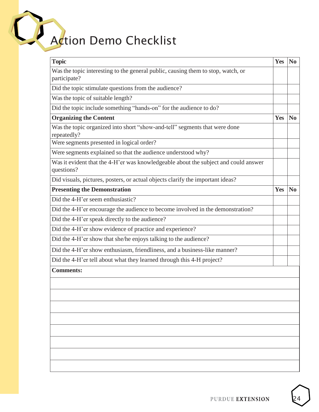## Action Demo Checklist

| <b>Topic</b>                                                                                      | Yes | N <sub>0</sub> |
|---------------------------------------------------------------------------------------------------|-----|----------------|
| Was the topic interesting to the general public, causing them to stop, watch, or<br>participate?  |     |                |
| Did the topic stimulate questions from the audience?                                              |     |                |
| Was the topic of suitable length?                                                                 |     |                |
| Did the topic include something "hands-on" for the audience to do?                                |     |                |
| <b>Organizing the Content</b>                                                                     | Yes | N <sub>0</sub> |
| Was the topic organized into short "show-and-tell" segments that were done<br>repeatedly?         |     |                |
| Were segments presented in logical order?                                                         |     |                |
| Were segments explained so that the audience understood why?                                      |     |                |
| Was it evident that the 4-H'er was knowledgeable about the subject and could answer<br>questions? |     |                |
| Did visuals, pictures, posters, or actual objects clarify the important ideas?                    |     |                |
| <b>Presenting the Demonstration</b>                                                               | Yes | $\bf No$       |
| Did the 4-H'er seem enthusiastic?                                                                 |     |                |
| Did the 4-H'er encourage the audience to become involved in the demonstration?                    |     |                |
| Did the 4-H'er speak directly to the audience?                                                    |     |                |
| Did the 4-H'er show evidence of practice and experience?                                          |     |                |
| Did the 4-H'er show that she/he enjoys talking to the audience?                                   |     |                |
| Did the 4-H'er show enthusiasm, friendliness, and a business-like manner?                         |     |                |
| Did the 4-H'er tell about what they learned through this 4-H project?                             |     |                |
| <b>Comments:</b>                                                                                  |     |                |
|                                                                                                   |     |                |
|                                                                                                   |     |                |
|                                                                                                   |     |                |
|                                                                                                   |     |                |
|                                                                                                   |     |                |
|                                                                                                   |     |                |
|                                                                                                   |     |                |
|                                                                                                   |     |                |
|                                                                                                   |     |                |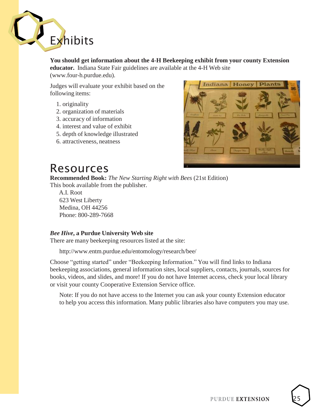<span id="page-24-0"></span>

**You should get information about the 4-H Beekeeping exhibit from your county Extension educator.** Indiana State Fair guidelines are available at the 4-H Web site (www.four-h.purdue.edu).

Judges will evaluate your exhibit based on the following items:

- 1. originality
- 2. organization of materials
- 3. accuracy of information
- 4. interest and value of exhibit
- 5. depth of knowledge illustrated
- 6. attractiveness, neatness



#### <span id="page-24-1"></span>Resources

**Recommended Book:** *The New Starting Right with Bees* (21st Edition) This book available from the publisher.

A.I. Root 623 West Liberty Medina, OH 44256 Phone: 800-289-7668

#### *Bee Hive***, a Purdue University Web site**

There are many beekeeping resources listed at the site:

[http://www.entm.purdue.edu/entomology/research/bee/](http://www.entm.purdue.edu/entomology/research/bee)

Choose "getting started" under "Beekeeping Information." You will find links to Indiana beekeeping associations, general information sites, local suppliers, contacts, journals, sources for books, videos, and slides, and more! If you do not have Internet access, check your local library or visit your county Cooperative Extension Service office.

Note: If you do not have access to the Internet you can ask your county Extension educator to help you access this information. Many public libraries also have computers you may use.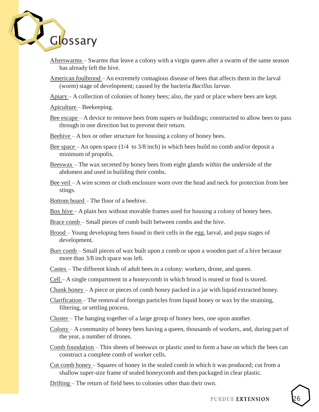<span id="page-25-0"></span>

- Afterswarms Swarms that leave a colony with a virgin queen after a swarm of the same season has already left the hive.
- American foulbrood An extremely contagious disease of bees that affects them in the larval (worm) stage of development; caused by the bacteria *Bacillus larvae*.
- Apiary A collection of colonies of honey bees; also, the yard or place where bees are kept.

Apiculture – Beekeeping.

- Bee escape A device to remove bees from supers or buildings; constructed to allow bees to pass through in one direction but to prevent their return.
- Beehive A box or other structure for housing a colony of honey bees.
- Bee space An open space  $(1/4 \text{ to } 3/8 \text{ inch})$  in which bees build no comb and/or deposit a minimum of propolis.
- Beeswax The wax secreted by honey bees from eight glands within the underside of the abdomen and used in building their combs.
- Bee veil A wire screen or cloth enclosure worn over the head and neck for protection from bee stings.
- Bottom board The floor of a beehive.
- Box hive A plain box without movable frames used for housing a colony of honey bees.
- Brace comb Small pieces of comb built between combs and the hive.
- Brood Young developing bees found in their cells in the egg, larval, and pupa stages of development.
- Burr comb Small pieces of wax built upon a comb or upon a wooden part of a hive because more than 3/8 inch space was left.
- Castes The different kinds of adult bees in a colony: workers, drone, and queen.
- Cell A single compartment in a honeycomb in which brood is reared or food is stored.
- Chunk honey A piece or pieces of comb honey packed in a jar with liquid extracted honey.
- Clarification The removal of foreign particles from liquid honey or wax by the straining, filtering, or settling process.
- Cluster The hanging together of a large group of honey bees, one upon another.
- Colony A community of honey bees having a queen, thousands of workers, and, during part of the year, a number of drones.
- Comb foundation Thin sheets of beeswax or plastic used to form a base on which the bees can construct a complete comb of worker cells.
- Cut comb honey Squares of honey in the sealed comb in which it was produced; cut from a shallow super-size frame of sealed honeycomb and then packaged in clear plastic.

Drifting – The return of field bees to colonies other than their own.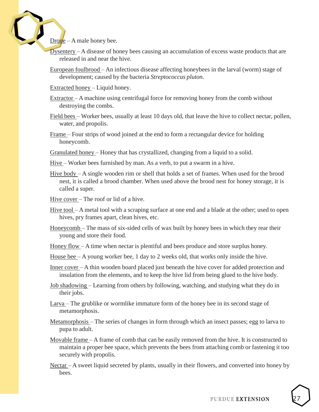$D$ rone – A male honey bee.

- Dysentery A disease of honey bees causing an accumulation of excess waste products that are released in and near the hive.
- European foulbrood An infectious disease affecting honeybees in the larval (worm) stage of development; caused by the bacteria *Streptococcus pluton*.

Extracted honey – Liquid honey.

Extractor – A machine using centrifugal force for removing honey from the comb without destroying the combs.

Field bees – Worker bees, usually at least 10 days old, that leave the hive to collect nectar, pollen, water, and propolis.

Frame – Four strips of wood joined at the end to form a rectangular device for holding honeycomb.

Granulated honey – Honey that has crystallized, changing from a liquid to a solid.

Hive – Worker bees furnished by man. As a verb, to put a swarm in a hive.

Hive body – A single wooden rim or shell that holds a set of frames. When used for the brood nest, it is called a brood chamber. When used above the brood nest for honey storage, it is called a super.

Hive cover – The roof or lid of a hive.

- Hive tool A metal tool with a scraping surface at one end and a blade at the other; used to open hives, pry frames apart, clean hives, etc.
- Honeycomb The mass of six-sided cells of wax built by honey bees in which they rear their young and store their food.

Honey flow – A time when nectar is plentiful and bees produce and store surplus honey.

House bee – A young worker bee, 1 day to 2 weeks old, that works only inside the hive.

Inner cover – A thin wooden board placed just beneath the hive cover for added protection and insulation from the elements, and to keep the hive lid from being glued to the hive body.

Job shadowing – Learning from others by following, watching, and studying what they do in their jobs.

Larva – The grublike or wormlike immature form of the honey bee in its second stage of metamorphosis.

- Metamorphosis The series of changes in form through which an insect passes; egg to larva to pupa to adult.
- Movable frame A frame of comb that can be easily removed from the hive. It is constructed to maintain a proper bee space, which prevents the bees from attaching comb or fastening it too securely with propolis.
- Nectar A sweet liquid secreted by plants, usually in their flowers, and converted into honey by bees.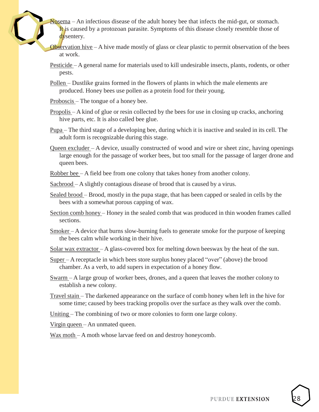Nosema – An infectious disease of the adult honey bee that infects the mid-gut, or stomach. It is caused by a protozoan parasite. Symptoms of this disease closely resemble those of dysentery.

Observation hive  $-A$  hive made mostly of glass or clear plastic to permit observation of the bees at work.

Pesticide – A general name for materials used to kill undesirable insects, plants, rodents, or other pests.

Pollen – Dustlike grains formed in the flowers of plants in which the male elements are produced. Honey bees use pollen as a protein food for their young.

Proboscis – The tongue of a honey bee.

Propolis – A kind of glue or resin collected by the bees for use in closing up cracks, anchoring hive parts, etc. It is also called bee glue.

 $Pupa$  – The third stage of a developing bee, during which it is inactive and sealed in its cell. The adult form is recognizable during this stage.

Queen excluder – A device, usually constructed of wood and wire or sheet zinc, having openings large enough for the passage of worker bees, but too small for the passage of larger drone and queen bees.

Robber bee – A field bee from one colony that takes honey from another colony.

Sacbrood – A slightly contagious disease of brood that is caused by a virus.

Sealed brood – Brood, mostly in the pupa stage, that has been capped or sealed in cells by the bees with a somewhat porous capping of wax.

Section comb honey – Honey in the sealed comb that was produced in thin wooden frames called sections.

Smoker – A device that burns slow-burning fuels to generate smoke for the purpose of keeping the bees calm while working in their hive.

Solar wax extractor  $-A$  glass-covered box for melting down beeswax by the heat of the sun.

Super – A receptacle in which bees store surplus honey placed "over" (above) the brood chamber. As a verb, to add supers in expectation of a honey flow.

Swarm – A large group of worker bees, drones, and a queen that leaves the mother colony to establish a new colony.

Travel stain – The darkened appearance on the surface of comb honey when left in the hive for some time; caused by bees tracking propolis over the surface as they walk over the comb.

Uniting – The combining of two or more colonies to form one large colony.

Virgin queen – An unmated queen.

Wax moth – A moth whose larvae feed on and destroy honeycomb.